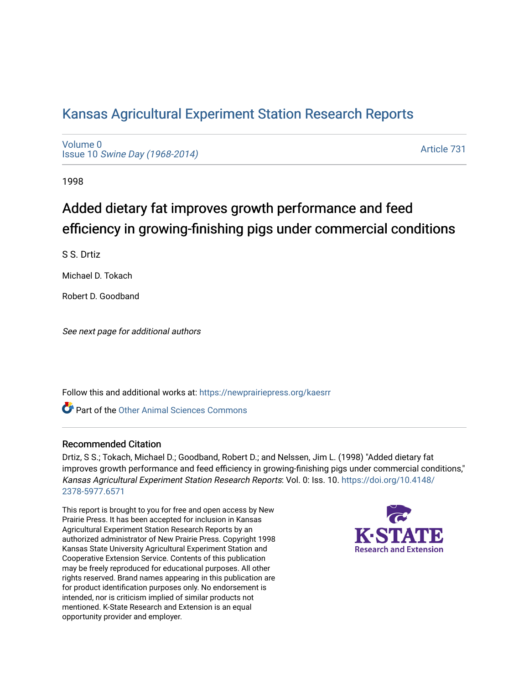## [Kansas Agricultural Experiment Station Research Reports](https://newprairiepress.org/kaesrr)

[Volume 0](https://newprairiepress.org/kaesrr/vol0) Issue 10 [Swine Day \(1968-2014\)](https://newprairiepress.org/kaesrr/vol0/iss10)

[Article 731](https://newprairiepress.org/kaesrr/vol0/iss10/731) 

1998

# Added dietary fat improves growth performance and feed efficiency in growing-finishing pigs under commercial conditions

S S. Drtiz

Michael D. Tokach

Robert D. Goodband

See next page for additional authors

Follow this and additional works at: [https://newprairiepress.org/kaesrr](https://newprairiepress.org/kaesrr?utm_source=newprairiepress.org%2Fkaesrr%2Fvol0%2Fiss10%2F731&utm_medium=PDF&utm_campaign=PDFCoverPages) 

Part of the [Other Animal Sciences Commons](http://network.bepress.com/hgg/discipline/82?utm_source=newprairiepress.org%2Fkaesrr%2Fvol0%2Fiss10%2F731&utm_medium=PDF&utm_campaign=PDFCoverPages)

#### Recommended Citation

Drtiz, S S.; Tokach, Michael D.; Goodband, Robert D.; and Nelssen, Jim L. (1998) "Added dietary fat improves growth performance and feed efficiency in growing-finishing pigs under commercial conditions," Kansas Agricultural Experiment Station Research Reports: Vol. 0: Iss. 10. [https://doi.org/10.4148/](https://doi.org/10.4148/2378-5977.6571) [2378-5977.6571](https://doi.org/10.4148/2378-5977.6571) 

This report is brought to you for free and open access by New Prairie Press. It has been accepted for inclusion in Kansas Agricultural Experiment Station Research Reports by an authorized administrator of New Prairie Press. Copyright 1998 Kansas State University Agricultural Experiment Station and Cooperative Extension Service. Contents of this publication may be freely reproduced for educational purposes. All other rights reserved. Brand names appearing in this publication are for product identification purposes only. No endorsement is intended, nor is criticism implied of similar products not mentioned. K-State Research and Extension is an equal opportunity provider and employer.

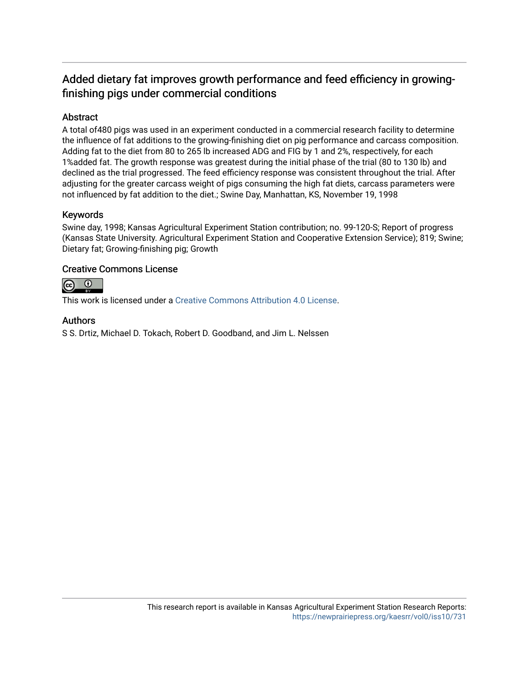### Added dietary fat improves growth performance and feed efficiency in growingfinishing pigs under commercial conditions

#### Abstract

A total of480 pigs was used in an experiment conducted in a commercial research facility to determine the influence of fat additions to the growing-finishing diet on pig performance and carcass composition. Adding fat to the diet from 80 to 265 lb increased ADG and FIG by 1 and 2%, respectively, for each 1%added fat. The growth response was greatest during the initial phase of the trial (80 to 130 lb) and declined as the trial progressed. The feed efficiency response was consistent throughout the trial. After adjusting for the greater carcass weight of pigs consuming the high fat diets, carcass parameters were not influenced by fat addition to the diet.; Swine Day, Manhattan, KS, November 19, 1998

#### Keywords

Swine day, 1998; Kansas Agricultural Experiment Station contribution; no. 99-120-S; Report of progress (Kansas State University. Agricultural Experiment Station and Cooperative Extension Service); 819; Swine; Dietary fat; Growing-finishing pig; Growth

#### Creative Commons License



This work is licensed under a [Creative Commons Attribution 4.0 License](https://creativecommons.org/licenses/by/4.0/).

#### Authors

S S. Drtiz, Michael D. Tokach, Robert D. Goodband, and Jim L. Nelssen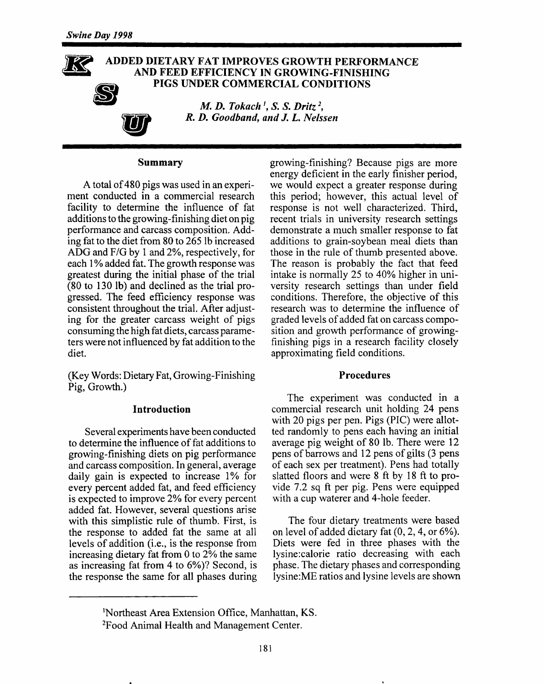#### ADDED DIETARY FAT IMPROVES GROWTH PERFORMANCE AND FEED EFFICIENCY IN GROWING-FINISHING PIGS UNDER COMMERCIAL CONDITIONS

M. D. Tokach<sup>1</sup>, S. S. Dritz<sup>2</sup>, R. D. Goodband, and J. L. Nelssen

#### Summary

A total of 480 pigs was used in an experiment conducted in a commercial research facility to determine the influence of fat additions to the growing-finishing diet on pig performance and carcass composition. Adding fat to the diet from 80 to 265 lb increased ADG and F/G by 1 and 2%, respectively, for each 1% added fat. The growth response was greatest during the initial phase of the trial (80 to 130 lb) and declined as the trial progressed. The feed efficiency response was consistent throughout the trial. After adjusting for the greater carcass weight of pigs consuming the high fat diets, carcass parameters were not influenced by fat addition to the diet.

(Key Words: Dietary Fat, Growing-Finishing) Pig, Growth.)

#### **Introduction**

Several experiments have been conducted to determine the influence of fat additions to growing-finishing diets on pig performance and carcass composition. In general, average daily gain is expected to increase 1% for every percent added fat, and feed efficiency is expected to improve 2% for every percent added fat. However, several questions arise with this simplistic rule of thumb. First, is the response to added fat the same at all levels of addition (i.e., is the response from increasing dietary fat from 0 to 2% the same as increasing fat from 4 to 6%)? Second, is the response the same for all phases during

growing-finishing? Because pigs are more energy deficient in the early finisher period, we would expect a greater response during this period; however, this actual level of response is not well characterized. Third, recent trials in university research settings demonstrate a much smaller response to fat additions to grain-soybean meal diets than those in the rule of thumb presented above. The reason is probably the fact that feed intake is normally 25 to 40% higher in university research settings than under field conditions. Therefore, the objective of this research was to determine the influence of graded levels of added fat on carcass composition and growth performance of growingfinishing pigs in a research facility closely approximating field conditions.

#### **Procedures**

The experiment was conducted in a commercial research unit holding 24 pens with 20 pigs per pen. Pigs (PIC) were allotted randomly to pens each having an initial average pig weight of 80 lb. There were 12 pens of barrows and 12 pens of gilts (3 pens of each sex per treatment). Pens had totally slatted floors and were 8 ft by 18 ft to provide 7.2 sq ft per pig. Pens were equipped with a cup waterer and 4-hole feeder.

The four dietary treatments were based on level of added dietary fat  $(0, 2, 4, 0.6\%)$ . Diets were fed in three phases with the lysine:calorie ratio decreasing with each phase. The dietary phases and corresponding lysine: ME ratios and lysine levels are shown

<sup>&</sup>lt;sup>1</sup>Northeast Area Extension Office, Manhattan, KS.

<sup>&</sup>lt;sup>2</sup>Food Animal Health and Management Center.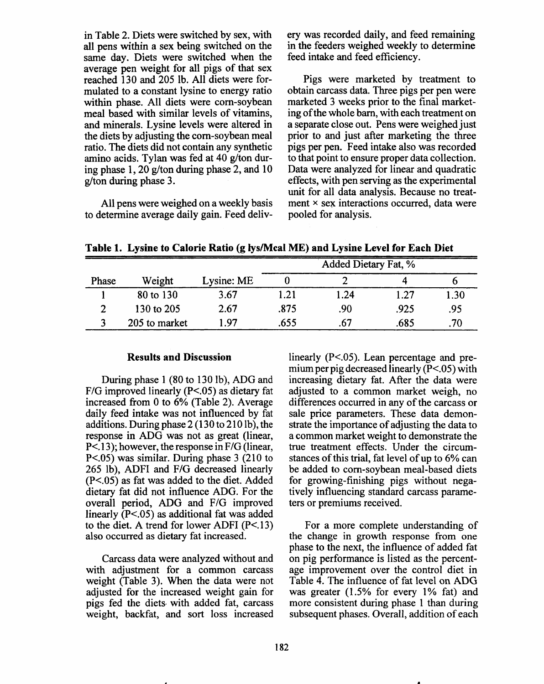in Table 2. Diets were switched by sex, with all pens within a sex being switched on the same day. Diets were switched when the average pen weight for all pigs of that sex reached 130 and 205 lb. All diets were formulated to a constant lysine to energy ratio within phase. All diets were corn-soybean meal based with similar levels of vitamins. and minerals. Lysine levels were altered in the diets by adjusting the corn-soybean meal ratio. The diets did not contain any synthetic amino acids. Tylan was fed at 40 g/ton during phase 1, 20 g/ton during phase 2, and 10 g/ton during phase 3.

All pens were weighed on a weekly basis to determine average daily gain. Feed delivery was recorded daily, and feed remaining in the feeders weighed weekly to determine feed intake and feed efficiency.

Pigs were marketed by treatment to obtain carcass data. Three pigs per pen were marketed 3 weeks prior to the final marketing of the whole barn, with each treatment on a separate close out. Pens were weighed just prior to and just after marketing the three pigs per pen. Feed intake also was recorded to that point to ensure proper data collection. Data were analyzed for linear and quadratic effects, with pen serving as the experimental unit for all data analysis. Because no treatment × sex interactions occurred, data were pooled for analysis.

Table 1. Lysine to Calorie Ratio (g lys/Mcal ME) and Lysine Level for Each Diet

|       |               | . .        | <br>Added Dietary Fat, % |      |      |      |
|-------|---------------|------------|--------------------------|------|------|------|
| Phase | Weight        | Lysine: ME |                          |      |      |      |
|       | 80 to 130     | 3.67       | 1.21                     | 1.24 | 1.27 | 1.30 |
|       | 130 to 205    | 2.67       | .875                     | .90  | .925 | .95  |
|       | 205 to market | l 97       | .655                     | .67  | .685 | .70  |

#### **Results and Discussion**

During phase 1 (80 to 130 lb), ADG and  $F/G$  improved linearly ( $P < .05$ ) as dietary fat increased from 0 to 6% (Table 2). Average daily feed intake was not influenced by fat additions. During phase 2 (130 to 210 lb), the response in ADG was not as great (linear,  $P<.13$ ; however, the response in  $F/G$  (linear,  $P<0.05$ ) was similar. During phase 3 (210 to 265 lb), ADFI and F/G decreased linearly  $(P<.05)$  as fat was added to the diet. Added dietary fat did not influence ADG. For the overall period, ADG and F/G improved linearly  $(P<.05)$  as additional fat was added to the diet. A trend for lower ADFI  $(P<.13)$ also occurred as dietary fat increased.

Carcass data were analyzed without and with adjustment for a common carcass weight (Table 3). When the data were not adjusted for the increased weight gain for pigs fed the diets with added fat, carcass weight, backfat, and sort loss increased linearly  $(P<.05)$ . Lean percentage and premium per pig decreased linearly  $(P<.05)$  with increasing dietary fat. After the data were adjusted to a common market weigh, no differences occurred in any of the carcass or sale price parameters. These data demonstrate the importance of adjusting the data to a common market weight to demonstrate the true treatment effects. Under the circumstances of this trial, fat level of up to 6% can be added to corn-soybean meal-based diets for growing-finishing pigs without negatively influencing standard carcass parameters or premiums received.

For a more complete understanding of the change in growth response from one phase to the next, the influence of added fat on pig performance is listed as the percentage improvement over the control diet in Table 4. The influence of fat level on ADG was greater (1.5% for every 1% fat) and more consistent during phase 1 than during subsequent phases. Overall, addition of each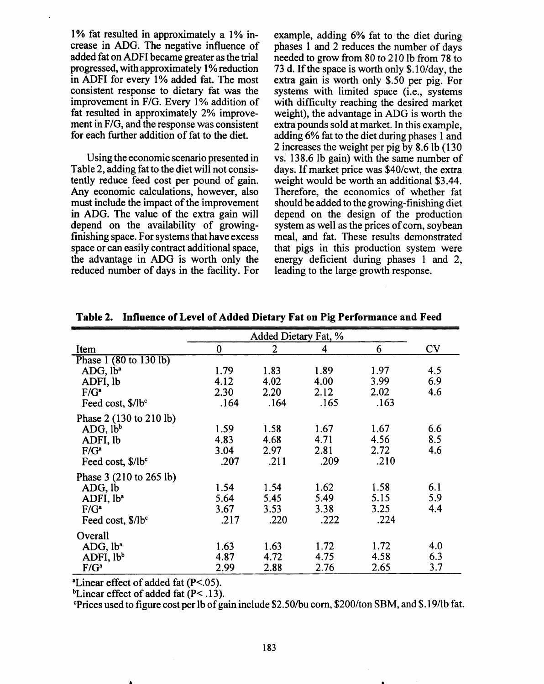1% fat resulted in approximately a 1% increase in ADG. The negative influence of added fat on ADFI became greater as the trial progressed, with approximately 1% reduction in ADFI for every 1% added fat. The most consistent response to dietary fat was the improvement in F/G. Every 1% addition of fat resulted in approximately 2% improvement in F/G, and the response was consistent for each further addition of fat to the diet.

Using the economic scenario presented in Table 2, adding fat to the diet will not consistently reduce feed cost per pound of gain. Any economic calculations, however, also must include the impact of the improvement in ADG. The value of the extra gain will depend on the availability of growingfinishing space. For systems that have excess space or can easily contract additional space, the advantage in ADG is worth only the reduced number of days in the facility. For

example, adding 6% fat to the diet during phases 1 and 2 reduces the number of days needed to grow from 80 to 210 lb from 78 to 73 d. If the space is worth only \$.10/day, the extra gain is worth only \$.50 per pig. For systems with limited space (i.e., systems with difficulty reaching the desired market weight), the advantage in ADG is worth the extra pounds sold at market. In this example, adding 6% fat to the diet during phases 1 and 2 increases the weight per pig by 8.6 lb (130) vs. 138.6 lb gain) with the same number of days. If market price was \$40/cwt, the extra weight would be worth an additional \$3.44. Therefore, the economics of whether fat should be added to the growing-finishing diet depend on the design of the production system as well as the prices of corn, soybean meal, and fat. These results demonstrated that pigs in this production system were energy deficient during phases 1 and 2, leading to the large growth response.

|                               | Added Dietary Fat, % |                |      |      |     |
|-------------------------------|----------------------|----------------|------|------|-----|
| Item                          | $\bf{0}$             | $\overline{2}$ | 4    | 6    | CV  |
| Phase 1 (80 to 130 lb)        |                      |                |      |      |     |
| ADG, lb <sup>a</sup>          | 1.79                 | 1.83           | 1.89 | 1.97 | 4.5 |
| ADFI, lb                      | 4.12                 | 4.02           | 4.00 | 3.99 | 6.9 |
| $F/G^*$                       | 2.30                 | 2.20           | 2.12 | 2.02 | 4.6 |
| Feed cost, \$/lb <sup>c</sup> | .164                 | .164           | .165 | .163 |     |
| Phase 2 (130 to 210 lb)       |                      |                |      |      |     |
| ADG, lb <sup>b</sup>          | 1.59                 | 1.58           | 1.67 | 1.67 | 6.6 |
| ADFI, lb                      | 4.83                 | 4.68           | 4.71 | 4.56 | 8.5 |
| $F/G^a$                       | 3.04                 | 2.97           | 2.81 | 2.72 | 4.6 |
| Feed cost, \$/lbc             | .207                 | .211           | .209 | .210 |     |
| Phase 3 (210 to 265 lb)       |                      |                |      |      |     |
| ADG, lb                       | 1.54                 | 1.54           | 1.62 | 1.58 | 6.1 |
| ADFI, lb <sup>a</sup>         | 5.64                 | 5.45           | 5.49 | 5.15 | 5.9 |
| $F/G^a$                       | 3.67                 | 3.53           | 3.38 | 3.25 | 4.4 |
| Feed cost, \$/lb <sup>c</sup> | .217                 | .220           | .222 | .224 |     |
| Overall                       |                      |                |      |      |     |
| ADG, lb <sup>a</sup>          | 1.63                 | 1.63           | 1.72 | 1.72 | 4.0 |
| ADFI, lb <sup>b</sup>         | 4.87                 | 4.72           | 4.75 | 4.58 | 6.3 |
| $F/G^a$                       | 2.99                 | 2.88           | 2.76 | 2.65 | 3.7 |

Table 2. Influence of Level of Added Dietary Fat on Pig Performance and Feed

 $^{\circ}$ Linear effect of added fat (P<.05).

<sup>b</sup>Linear effect of added fat  $(P<.13)$ .

Prices used to figure cost per lb of gain include \$2.50/bu corn, \$200/ton SBM, and \$.19/lb fat.